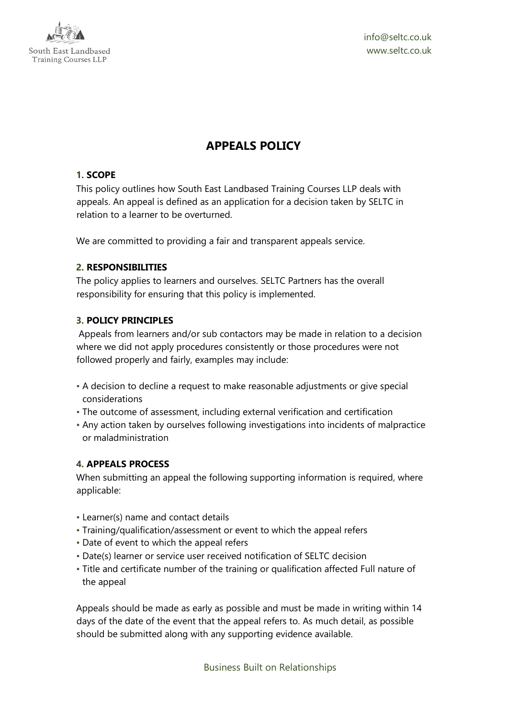

info@seltc.co.uk www.seltc.co.uk

# **APPEALS POLICY**

# **1. SCOPE**

This policy outlines how South East Landbased Training Courses LLP deals with appeals. An appeal is defined as an application for a decision taken by SELTC in relation to a learner to be overturned.

We are committed to providing a fair and transparent appeals service.

# **2. RESPONSIBILITIES**

The policy applies to learners and ourselves. SELTC Partners has the overall responsibility for ensuring that this policy is implemented.

# **3. POLICY PRINCIPLES**

Appeals from learners and/or sub contactors may be made in relation to a decision where we did not apply procedures consistently or those procedures were not followed properly and fairly, examples may include:

- A decision to decline a request to make reasonable adjustments or give special considerations
- The outcome of assessment, including external verification and certification
- Any action taken by ourselves following investigations into incidents of malpractice or maladministration

# **4. APPEALS PROCESS**

When submitting an appeal the following supporting information is required, where applicable:

- Learner(s) name and contact details
- Training/qualification/assessment or event to which the appeal refers
- Date of event to which the appeal refers
- Date(s) learner or service user received notification of SELTC decision
- Title and certificate number of the training or qualification affected Full nature of the appeal

Appeals should be made as early as possible and must be made in writing within 14 days of the date of the event that the appeal refers to. As much detail, as possible should be submitted along with any supporting evidence available.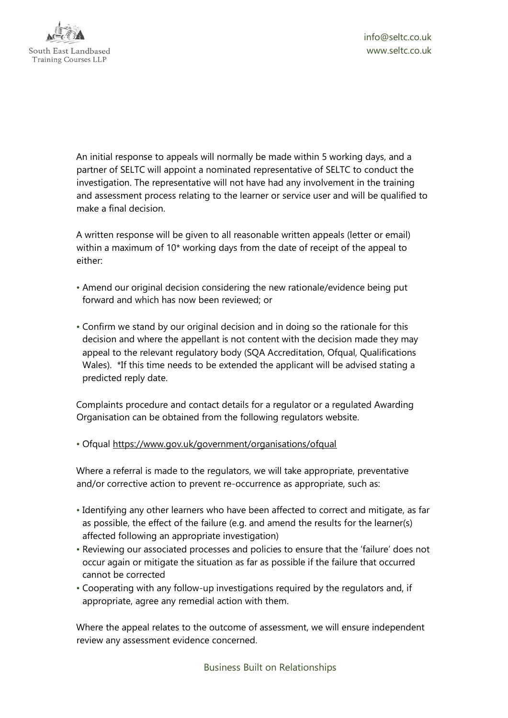

An initial response to appeals will normally be made within 5 working days, and a partner of SELTC will appoint a nominated representative of SELTC to conduct the investigation. The representative will not have had any involvement in the training and assessment process relating to the learner or service user and will be qualified to make a final decision.

A written response will be given to all reasonable written appeals (letter or email) within a maximum of 10\* working days from the date of receipt of the appeal to either:

- Amend our original decision considering the new rationale/evidence being put forward and which has now been reviewed; or
- Confirm we stand by our original decision and in doing so the rationale for this decision and where the appellant is not content with the decision made they may appeal to the relevant regulatory body (SQA Accreditation, Ofqual, Qualifications Wales). \*If this time needs to be extended the applicant will be advised stating a predicted reply date.

Complaints procedure and contact details for a regulator or a regulated Awarding Organisation can be obtained from the following regulators website.

• Ofqual<https://www.gov.uk/government/organisations/ofqual>

Where a referral is made to the regulators, we will take appropriate, preventative and/or corrective action to prevent re-occurrence as appropriate, such as:

- Identifying any other learners who have been affected to correct and mitigate, as far as possible, the effect of the failure (e.g. and amend the results for the learner(s) affected following an appropriate investigation)
- Reviewing our associated processes and policies to ensure that the 'failure' does not occur again or mitigate the situation as far as possible if the failure that occurred cannot be corrected
- Cooperating with any follow-up investigations required by the regulators and, if appropriate, agree any remedial action with them.

Where the appeal relates to the outcome of assessment, we will ensure independent review any assessment evidence concerned.

Business Built on Relationships